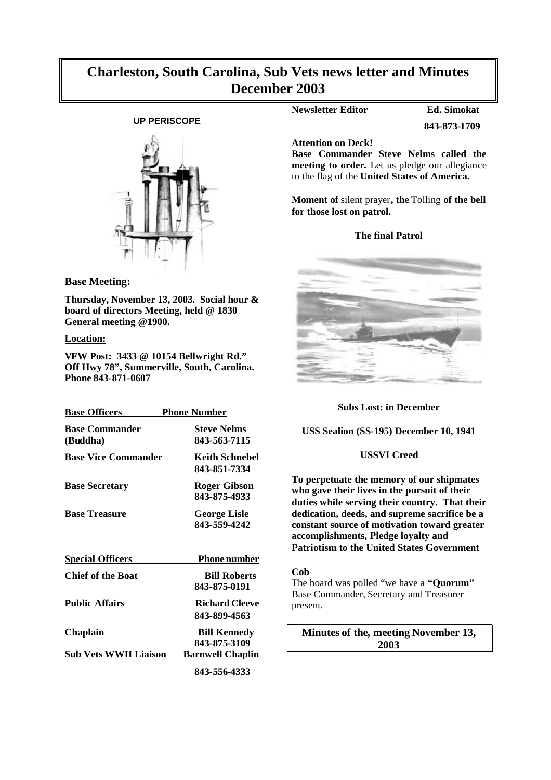## **Charleston, South Carolina, Sub Vets news letter and Minutes December 2003**

## **UP PERISCOPE**



#### **Base Meeting:**

**Thursday, November 13, 2003. Social hour & board of directors Meeting, held @ 1830 General meeting @1900.**

#### **Location:**

**VFW Post: 3433 @ 10154 Bellwright Rd." Off Hwy 78", Summerville, South, Carolina. Phone 843-871-0607**

| <b>Base Officers</b>              | <b>Phone Number</b>                     |
|-----------------------------------|-----------------------------------------|
| <b>Base Commander</b><br>(Buddha) | <b>Steve Nelms</b><br>843-563-7115      |
| <b>Base Vice Commander</b>        | <b>Keith Schnebel</b><br>843-851-7334   |
| <b>Base Secretary</b>             | <b>Roger Gibson</b><br>843-875-4933     |
| <b>Base Treasure</b>              | <b>George Lisle</b><br>843-559-4242     |
| <b>Special Officers</b>           | <u>Phone number</u>                     |
| <b>Chief of the Boat</b>          | <b>Bill Roberts</b><br>843-875-0191     |
| <b>Public Affairs</b>             | <b>Richard Cleeve</b><br>843-899-4563   |
| Chaplain                          | <b>Bill Kennedy</b><br>843-875-3109     |
| <b>Sub Vets WWII Liaison</b>      | <b>Barnwell Chaplin</b><br>843-556-4333 |

## **Newsletter Editor Ed. Simokat**

**843-873-1709**

**Attention on Deck!**

**Base Commander Steve Nelms called the meeting to order.** Let us pledge our allegiance to the flag of the **United States of America.**

**Moment of** silent prayer**, the** Tolling **of the bell for those lost on patrol.**

#### **The final Patrol**



#### **Subs Lost: in December**

**USS Sealion (SS-195) December 10, 1941**

#### **USSVI Creed**

**To perpetuate the memory of our shipmates who gave their lives in the pursuit of their duties while serving their country. That their dedication, deeds, and supreme sacrifice be a constant source of motivation toward greater accomplishments, Pledge loyalty and Patriotism to the United States Government**

#### **Cob**

The board was polled "we have a **"Quorum"** Base Commander, Secretary and Treasurer present.

**Minutes of the, meeting November 13, 2003**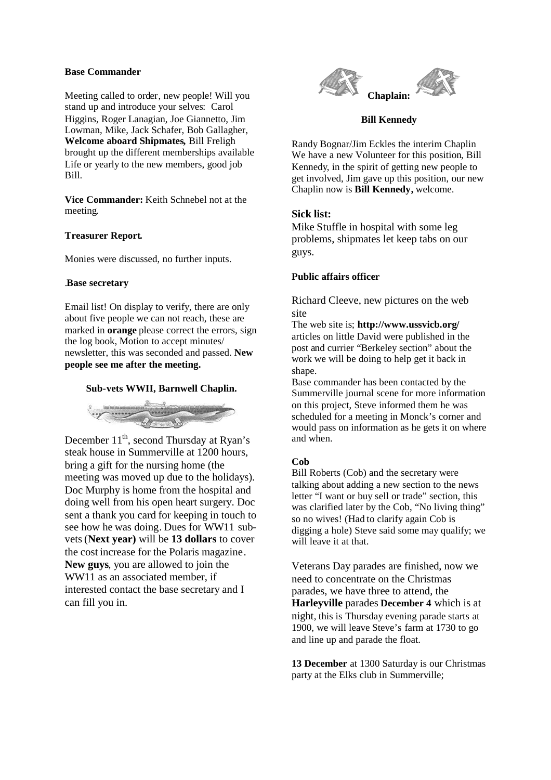#### **Base Commander**

Meeting called to order, new people! Will you stand up and introduce your selves: Carol Higgins, Roger Lanagian, Joe Giannetto, Jim Lowman, Mike, Jack Schafer, Bob Gallagher, **Welcome aboard Shipmates,** Bill Freligh brought up the different memberships available Life or yearly to the new members, good job Bill.

**Vice Commander:** Keith Schnebel not at the meeting.

#### **Treasurer Report.**

Monies were discussed, no further inputs.

#### .**Base secretary**

Email list! On display to verify, there are only about five people we can not reach, these are marked in **orange** please correct the errors, sign the log book, Motion to accept minutes/ newsletter, this was seconded and passed. **New people see me after the meeting.**

#### **Sub-vets WWII, Barnwell Chaplin.**



December 11<sup>th</sup>, second Thursday at Ryan's steak house in Summerville at 1200 hours, bring a gift for the nursing home (the meeting was moved up due to the holidays). Doc Murphy is home from the hospital and doing well from his open heart surgery. Doc sent a thank you card for keeping in touch to see how he was doing. Dues for WW11 subvets(**Next year)** will be **13 dollars** to cover the cost increase for the Polaris magazine. **New guys**, you are allowed to join the WW11 as an associated member, if interested contact the base secretary and I can fill you in.



#### **Bill Kennedy**

Randy Bognar/Jim Eckles the interim Chaplin We have a new Volunteer for this position, Bill Kennedy, in the spirit of getting new people to get involved, Jim gave up this position, our new Chaplin now is **Bill Kennedy,** welcome.

## **Sick list:**

Mike Stuffle in hospital with some leg problems, shipmates let keep tabs on our guys.

#### **Public affairs officer**

Richard Cleeve, new pictures on the web site

The web site is; **http://www.ussvicb.org/** articles on little David were published in the post and currier "Berkeley section" about the work we will be doing to help get it back in shape.

Base commander has been contacted by the Summerville journal scene for more information on this project, Steve informed them he was scheduled for a meeting in Monck's corner and would pass on information as he gets it on where and when.

#### **Cob**

Bill Roberts (Cob) and the secretary were talking about adding a new section to the news letter "I want or buy sell or trade" section, this was clarified later by the Cob, "No living thing" so no wives! (Had to clarify again Cob is digging a hole) Steve said some may qualify; we will leave it at that.

Veterans Day parades are finished, now we need to concentrate on the Christmas parades, we have three to attend, the **Harleyville** parades **December 4** which is at night, this is Thursday evening parade starts at 1900, we will leave Steve's farm at 1730 to go and line up and parade the float.

**13 December** at 1300 Saturday is our Christmas party at the Elks club in Summerville;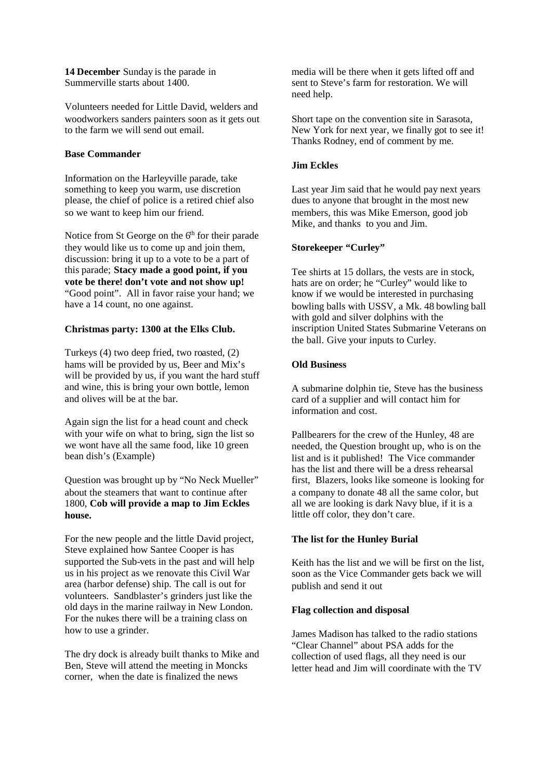**14 December** Sunday is the parade in Summerville starts about 1400.

Volunteers needed for Little David, welders and woodworkers sanders painters soon as it gets out to the farm we will send out email.

#### **Base Commander**

Information on the Harleyville parade, take something to keep you warm, use discretion please, the chief of police is a retired chief also so we want to keep him our friend.

Notice from St George on the  $6<sup>th</sup>$  for their parade they would like us to come up and join them, discussion: bring it up to a vote to be a part of this parade; **Stacy made a good point, if you vote be there! don't vote and not show up!** "Good point". All in favor raise your hand; we have a 14 count, no one against.

### **Christmas party: 1300 at the Elks Club.**

Turkeys (4) two deep fried, two roasted, (2) hams will be provided by us, Beer and Mix's will be provided by us, if you want the hard stuff and wine, this is bring your own bottle, lemon and olives will be at the bar.

Again sign the list for a head count and check with your wife on what to bring, sign the list so we wont have all the same food, like 10 green bean dish's (Example)

Question was brought up by "No Neck Mueller" about the steamers that want to continue after 1800, **Cob will provide a map to Jim Eckles house.**

For the new people and the little David project, Steve explained how Santee Cooper is has supported the Sub-vets in the past and will help us in his project as we renovate this Civil War area (harbor defense) ship. The call is out for volunteers. Sandblaster's grinders just like the old days in the marine railway in New London. For the nukes there will be a training class on how to use a grinder.

The dry dock is already built thanks to Mike and Ben, Steve will attend the meeting in Moncks corner, when the date is finalized the news

media will be there when it gets lifted off and sent to Steve's farm for restoration. We will need help.

Short tape on the convention site in Sarasota, New York for next year, we finally got to see it! Thanks Rodney, end of comment by me.

#### **Jim Eckles**

Last year Jim said that he would pay next years dues to anyone that brought in the most new members, this was Mike Emerson, good job Mike, and thanks to you and Jim.

#### **Storekeeper "Curley"**

Tee shirts at 15 dollars, the vests are in stock, hats are on order; he "Curley" would like to know if we would be interested in purchasing bowling balls with USSV, a Mk. 48 bowling ball with gold and silver dolphins with the inscription United States Submarine Veterans on the ball. Give your inputs to Curley.

#### **Old Business**

A submarine dolphin tie, Steve has the business card of a supplier and will contact him for information and cost.

Pallbearers for the crew of the Hunley, 48 are needed, the Question brought up, who is on the list and is it published! The Vice commander has the list and there will be a dress rehearsal first, Blazers, looks like someone is looking for a company to donate 48 all the same color, but all we are looking is dark Navy blue, if it is a little off color, they don't care.

#### **The list for the Hunley Burial**

Keith has the list and we will be first on the list, soon as the Vice Commander gets back we will publish and send it out

#### **Flag collection and disposal**

James Madison has talked to the radio stations "Clear Channel" about PSA adds for the collection of used flags, all they need is our letter head and Jim will coordinate with the TV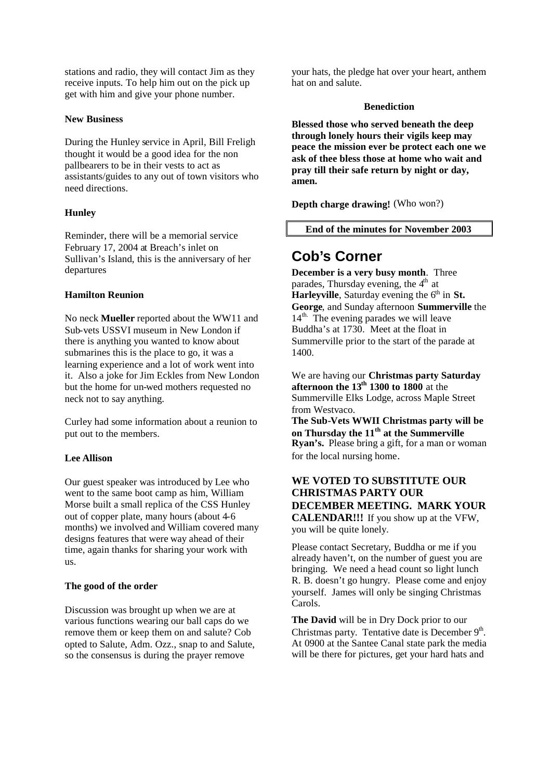stations and radio, they will contact Jim as they receive inputs. To help him out on the pick up get with him and give your phone number.

#### **New Business**

During the Hunley service in April, Bill Freligh thought it would be a good idea for the non pallbearers to be in their vests to act as assistants/guides to any out of town visitors who need directions.

#### **Hunley**

Reminder, there will be a memorial service February 17, 2004 at Breach's inlet on Sullivan's Island, this is the anniversary of her departures

#### **Hamilton Reunion**

No neck **Mueller** reported about the WW11 and Sub-vets USSVI museum in New London if there is anything you wanted to know about submarines this is the place to go, it was a learning experience and a lot of work went into it. Also a joke for Jim Eckles from New London but the home for un-wed mothers requested no neck not to say anything.

Curley had some information about a reunion to put out to the members.

#### **Lee Allison**

Our guest speaker was introduced by Lee who went to the same boot camp as him, William Morse built a small replica of the CSS Hunley out of copper plate, many hours (about 4-6 months) we involved and William covered many designs features that were way ahead of their time, again thanks for sharing your work with us.

#### **The good of the order**

Discussion was brought up when we are at various functions wearing our ball caps do we remove them or keep them on and salute? Cob opted to Salute, Adm. Ozz., snap to and Salute, so the consensus is during the prayer remove

your hats, the pledge hat over your heart, anthem hat on and salute.

#### **Benediction**

**Blessed those who served beneath the deep through lonely hours their vigils keep may peace the mission ever be protect each one we ask of thee bless those at home who wait and pray till their safe return by night or day, amen.**

**Depth charge drawing!** (Who won?)

#### **End of the minutes for November 2003**

## **Cob's Corner**

**December is a very busy month**. Three parades. Thursday evening, the  $4<sup>th</sup>$  at **Harleyville**, Saturday evening the 6<sup>th</sup> in **St. George**, and Sunday afternoon **Summerville** the 14<sup>th.</sup> The evening parades we will leave Buddha's at 1730. Meet at the float in Summerville prior to the start of the parade at 1400.

We are having our **Christmas party Saturday afternoon the 13th 1300 to 1800** at the Summerville Elks Lodge, across Maple Street from Westvaco.

**The Sub-Vets WWII Christmas party will be on Thursday the 11th at the Summerville Ryan's.** Please bring a gift, for a man or woman for the local nursing home.

## **WE VOTED TO SUBSTITUTE OUR CHRISTMAS PARTY OUR DECEMBER MEETING. MARK YOUR CALENDAR!!!** If you show up at the VFW, you will be quite lonely.

Please contact Secretary, Buddha or me if you already haven't, on the number of guest you are bringing. We need a head count so light lunch R. B. doesn't go hungry. Please come and enjoy yourself. James will only be singing Christmas Carols.

**The David** will be in Dry Dock prior to our Christmas party. Tentative date is December  $9<sup>th</sup>$ . At 0900 at the Santee Canal state park the media will be there for pictures, get your hard hats and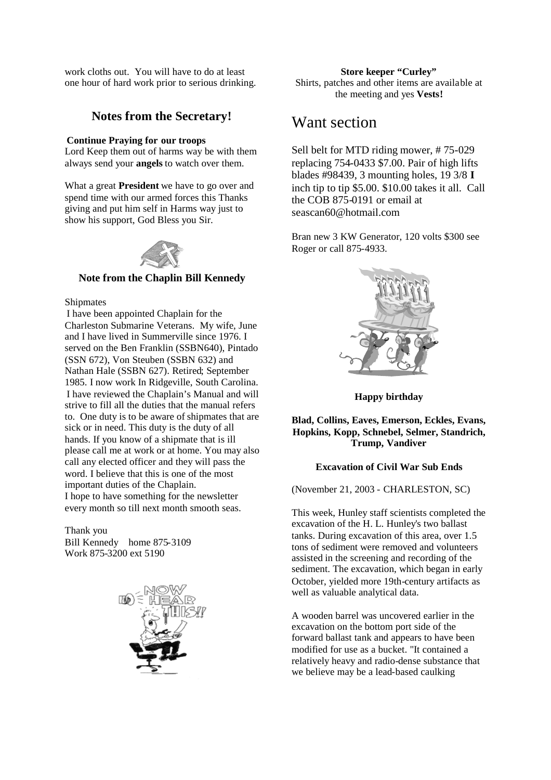work cloths out. You will have to do at least one hour of hard work prior to serious drinking.

## **Notes from the Secretary!**

#### **Continue Praying for our troops**

Lord Keep them out of harms way be with them always send your **angels** to watch over them.

What a great **President** we have to go over and spend time with our armed forces this Thanks giving and put him self in Harms way just to show his support, God Bless you Sir.



#### **Note from the Chaplin Bill Kennedy**

#### Shipmates

I have been appointed Chaplain for the Charleston Submarine Veterans. My wife, June and I have lived in Summerville since 1976. I served on the Ben Franklin (SSBN640), Pintado (SSN 672), Von Steuben (SSBN 632) and Nathan Hale (SSBN 627). Retired; September 1985. I now work In Ridgeville, South Carolina. I have reviewed the Chaplain's Manual and will strive to fill all the duties that the manual refers to. One duty is to be aware of shipmates that are sick or in need. This duty is the duty of all hands. If you know of a shipmate that is ill please call me at work or at home. You may also call any elected officer and they will pass the word. I believe that this is one of the most important duties of the Chaplain. I hope to have something for the newsletter every month so till next month smooth seas.

Thank you Bill Kennedy home 875-3109 Work 875-3200 ext 5190



**Store keeper "Curley"** Shirts, patches and other items are available at the meeting and yes **Vests!**

# Want section

Sell belt for MTD riding mower, # 75-029 replacing 754-0433 \$7.00. Pair of high lifts blades #98439, 3 mounting holes, 19 3/8 **I** inch tip to tip \$5.00. \$10.00 takes it all. Call the COB  $87\overline{5}$ -0191 or email at seascan60@hotmail.com

Bran new 3 KW Generator, 120 volts \$300 see Roger or call 875-4933.



**Happy birthday**

**Blad, Collins, Eaves, Emerson, Eckles, Evans, Hopkins, Kopp, Schnebel, Selmer, Standrich, Trump, Vandiver**

#### **Excavation of Civil War Sub Ends**

(November 21, 2003 - CHARLESTON, SC)

This week, Hunley staff scientists completed the excavation of the H. L. Hunley's two ballast tanks. During excavation of this area, over 1.5 tons of sediment were removed and volunteers assisted in the screening and recording of the sediment. The excavation, which began in early October, yielded more 19th-century artifacts as well as valuable analytical data.

A wooden barrel was uncovered earlier in the excavation on the bottom port side of the forward ballast tank and appears to have been modified for use as a bucket. "It contained a relatively heavy and radio-dense substance that we believe may be a lead-based caulking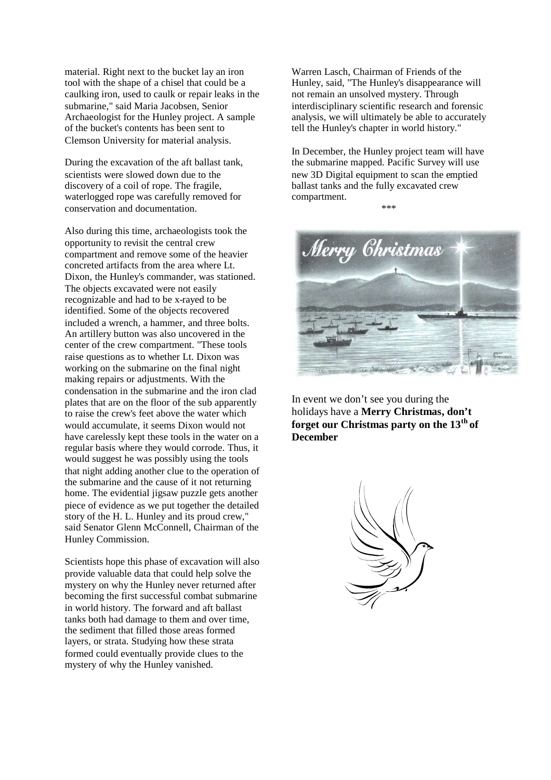material. Right next to the bucket lay an iron tool with the shape of a chisel that could be a caulking iron, used to caulk or repair leaks in the submarine," said Maria Jacobsen, Senior Archaeologist for the Hunley project. A sample of the bucket's contents has been sent to Clemson University for material analysis.

During the excavation of the aft ballast tank, scientists were slowed down due to the discovery of a coil of rope. The fragile, waterlogged rope was carefully removed for conservation and documentation.

Also during this time, archaeologists took the opportunity to revisit the central crew compartment and remove some of the heavier concreted artifacts from the area where Lt. Dixon, the Hunley's commander, was stationed. The objects excavated were not easily recognizable and had to be x-rayed to be identified. Some of the objects recovered included a wrench, a hammer, and three bolts. An artillery button was also uncovered in the center of the crew compartment. "These tools raise questions as to whether Lt. Dixon was working on the submarine on the final night making repairs or adjustments. With the condensation in the submarine and the iron clad plates that are on the floor of the sub apparently to raise the crew's feet above the water which would accumulate, it seems Dixon would not have carelessly kept these tools in the water on a regular basis where they would corrode. Thus, it would suggest he was possibly using the tools that night adding another clue to the operation of the submarine and the cause of it not returning home. The evidential jigsaw puzzle gets another piece of evidence as we put together the detailed story of the H. L. Hunley and its proud crew," said Senator Glenn McConnell, Chairman of the Hunley Commission.

Scientists hope this phase of excavation will also provide valuable data that could help solve the mystery on why the Hunley never returned after becoming the first successful combat submarine in world history. The forward and aft ballast tanks both had damage to them and over time, the sediment that filled those areas formed layers, or strata. Studying how these strata formed could eventually provide clues to the mystery of why the Hunley vanished.

Warren Lasch, Chairman of Friends of the Hunley, said, "The Hunley's disappearance will not remain an unsolved mystery. Through interdisciplinary scientific research and forensic analysis, we will ultimately be able to accurately tell the Hunley's chapter in world history."

In December, the Hunley project team will have the submarine mapped. Pacific Survey will use new 3D Digital equipment to scan the emptied ballast tanks and the fully excavated crew compartment. \*\*\*



In event we don't see you during the holidays have a **Merry Christmas, don't forget our Christmas party on the 13th of December**